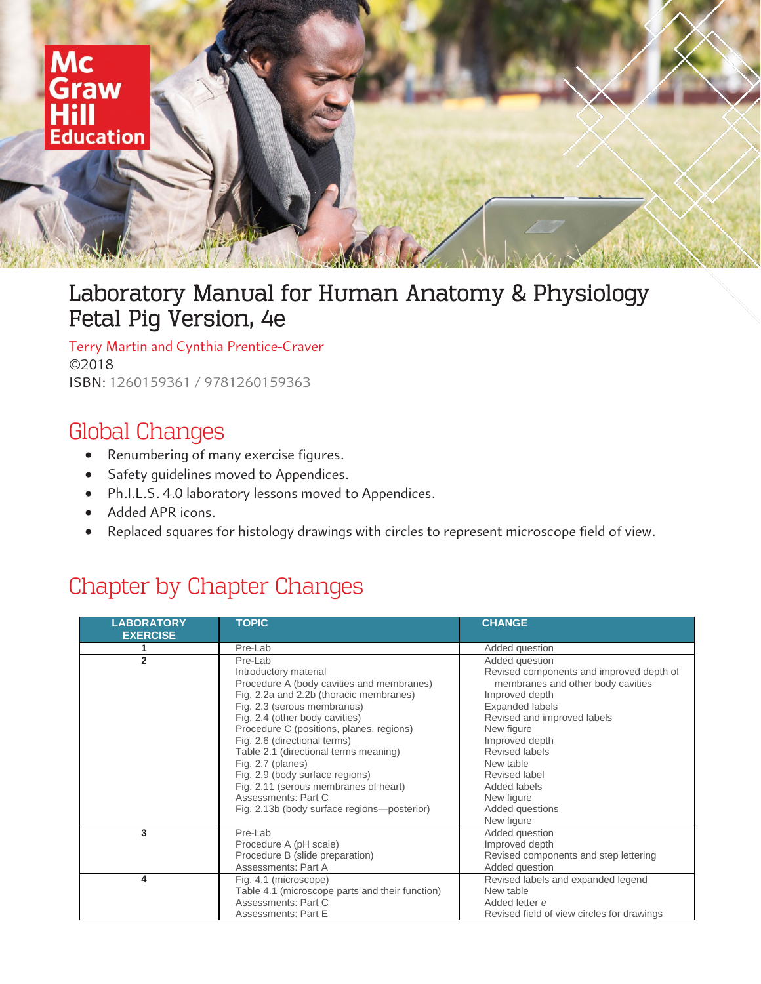

## Laboratory Manual for Human Anatomy & Physiology Fetal Pig Version, 4e

Terry Martin and Cynthia Prentice-Craver ©2018 ISBN: 1260159361 / 9781260159363

## Global Changes

- Renumbering of many exercise figures.
- Safety guidelines moved to Appendices.
- Ph.I.L.S. 4.0 laboratory lessons moved to Appendices.
- Added APR icons.
- Replaced squares for histology drawings with circles to represent microscope field of view.

## Chapter by Chapter Changes

| <b>LABORATORY</b><br><b>EXERCISE</b> | <b>TOPIC</b>                                                                                                                                                                                                                                                                                                                                                                                                                                                                          | <b>CHANGE</b>                                                                                                                                                                                                                                                                                                             |
|--------------------------------------|---------------------------------------------------------------------------------------------------------------------------------------------------------------------------------------------------------------------------------------------------------------------------------------------------------------------------------------------------------------------------------------------------------------------------------------------------------------------------------------|---------------------------------------------------------------------------------------------------------------------------------------------------------------------------------------------------------------------------------------------------------------------------------------------------------------------------|
|                                      | Pre-Lab                                                                                                                                                                                                                                                                                                                                                                                                                                                                               | Added question                                                                                                                                                                                                                                                                                                            |
| $\overline{2}$                       | Pre-Lab<br>Introductory material<br>Procedure A (body cavities and membranes)<br>Fig. 2.2a and 2.2b (thoracic membranes)<br>Fig. 2.3 (serous membranes)<br>Fig. 2.4 (other body cavities)<br>Procedure C (positions, planes, regions)<br>Fig. 2.6 (directional terms)<br>Table 2.1 (directional terms meaning)<br>Fig. 2.7 (planes)<br>Fig. 2.9 (body surface regions)<br>Fig. 2.11 (serous membranes of heart)<br>Assessments: Part C<br>Fig. 2.13b (body surface regions-posterior) | Added question<br>Revised components and improved depth of<br>membranes and other body cavities<br>Improved depth<br>Expanded labels<br>Revised and improved labels<br>New figure<br>Improved depth<br><b>Revised labels</b><br>New table<br>Revised label<br>Added labels<br>New figure<br>Added questions<br>New figure |
| 3                                    | Pre-Lab<br>Procedure A (pH scale)<br>Procedure B (slide preparation)<br>Assessments: Part A                                                                                                                                                                                                                                                                                                                                                                                           | Added question<br>Improved depth<br>Revised components and step lettering<br>Added question                                                                                                                                                                                                                               |
| 4                                    | Fig. 4.1 (microscope)<br>Table 4.1 (microscope parts and their function)<br>Assessments: Part C<br>Assessments: Part E                                                                                                                                                                                                                                                                                                                                                                | Revised labels and expanded legend<br>New table<br>Added letter e<br>Revised field of view circles for drawings                                                                                                                                                                                                           |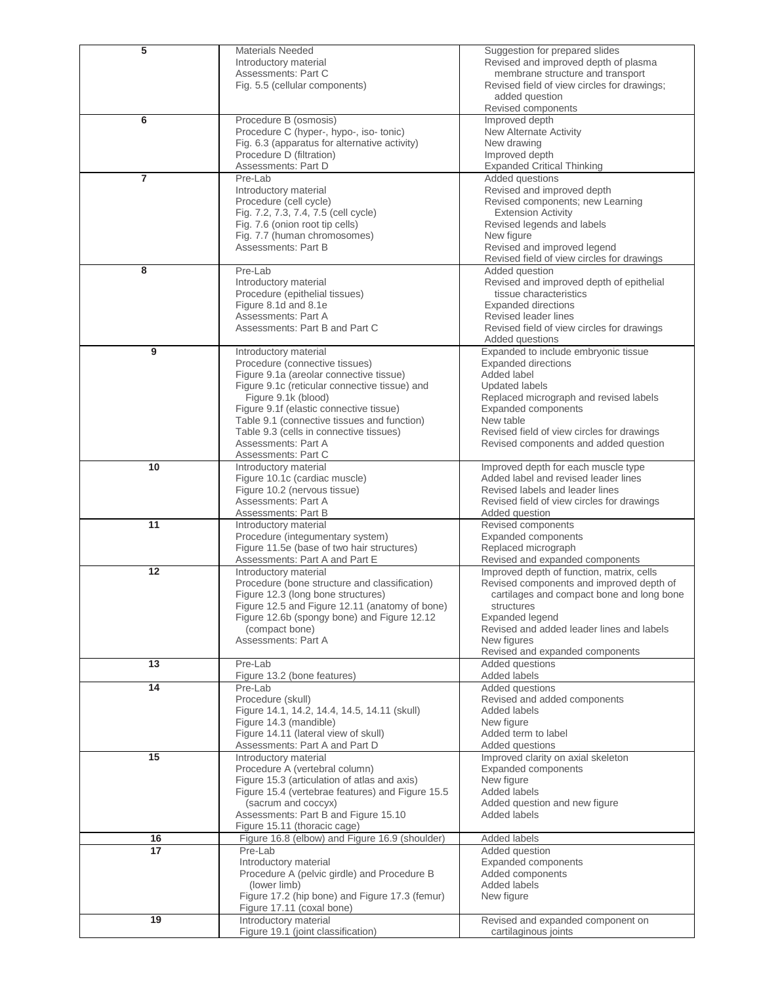| 5  | Materials Needed                                                          | Suggestion for prepared slides                                     |
|----|---------------------------------------------------------------------------|--------------------------------------------------------------------|
|    | Introductory material                                                     | Revised and improved depth of plasma                               |
|    | Assessments: Part C                                                       | membrane structure and transport                                   |
|    | Fig. 5.5 (cellular components)                                            | Revised field of view circles for drawings;                        |
|    |                                                                           | added question                                                     |
|    |                                                                           | Revised components                                                 |
| 6  | Procedure B (osmosis)                                                     | Improved depth                                                     |
|    | Procedure C (hyper-, hypo-, iso- tonic)                                   | New Alternate Activity                                             |
|    | Fig. 6.3 (apparatus for alternative activity)                             | New drawing                                                        |
|    | Procedure D (filtration)                                                  | Improved depth                                                     |
|    | Assessments: Part D                                                       | <b>Expanded Critical Thinking</b>                                  |
| 7  | Pre-Lab                                                                   | Added questions                                                    |
|    | Introductory material                                                     | Revised and improved depth                                         |
|    | Procedure (cell cycle)                                                    | Revised components; new Learning                                   |
|    | Fig. 7.2, 7.3, 7.4, 7.5 (cell cycle)                                      | <b>Extension Activity</b>                                          |
|    | Fig. 7.6 (onion root tip cells)                                           | Revised legends and labels                                         |
|    | Fig. 7.7 (human chromosomes)                                              | New figure                                                         |
|    | <b>Assessments: Part B</b>                                                | Revised and improved legend                                        |
|    |                                                                           | Revised field of view circles for drawings                         |
| 8  | Pre-Lab                                                                   | Added question                                                     |
|    | Introductory material<br>Procedure (epithelial tissues)                   | Revised and improved depth of epithelial<br>tissue characteristics |
|    | Figure 8.1d and 8.1e                                                      | <b>Expanded directions</b>                                         |
|    | Assessments: Part A                                                       |                                                                    |
|    | Assessments: Part B and Part C                                            | Revised leader lines                                               |
|    |                                                                           | Revised field of view circles for drawings<br>Added questions      |
| 9  | Introductory material                                                     |                                                                    |
|    |                                                                           | Expanded to include embryonic tissue                               |
|    | Procedure (connective tissues)<br>Figure 9.1a (areolar connective tissue) | <b>Expanded directions</b><br><b>Added label</b>                   |
|    | Figure 9.1c (reticular connective tissue) and                             | <b>Updated labels</b>                                              |
|    | Figure 9.1k (blood)                                                       | Replaced micrograph and revised labels                             |
|    | Figure 9.1f (elastic connective tissue)                                   | Expanded components                                                |
|    | Table 9.1 (connective tissues and function)                               | New table                                                          |
|    | Table 9.3 (cells in connective tissues)                                   | Revised field of view circles for drawings                         |
|    | Assessments: Part A                                                       | Revised components and added question                              |
|    | Assessments: Part C                                                       |                                                                    |
| 10 | Introductory material                                                     | Improved depth for each muscle type                                |
|    | Figure 10.1c (cardiac muscle)                                             | Added label and revised leader lines                               |
|    | Figure 10.2 (nervous tissue)                                              | Revised labels and leader lines                                    |
|    | Assessments: Part A                                                       | Revised field of view circles for drawings                         |
|    | Assessments: Part B                                                       | Added question                                                     |
| 11 | Introductory material                                                     | Revised components                                                 |
|    | Procedure (integumentary system)                                          | Expanded components                                                |
|    | Figure 11.5e (base of two hair structures)                                | Replaced micrograph                                                |
|    | Assessments: Part A and Part E                                            | Revised and expanded components                                    |
| 12 | Introductory material                                                     | Improved depth of function, matrix, cells                          |
|    | Procedure (bone structure and classification)                             | Revised components and improved depth of                           |
|    | Figure 12.3 (long bone structures)                                        | cartilages and compact bone and long bone                          |
|    | Figure 12.5 and Figure 12.11 (anatomy of bone)                            | structures                                                         |
|    | Figure 12.6b (spongy bone) and Figure 12.12                               | Expanded legend                                                    |
|    | (compact bone)                                                            | Revised and added leader lines and labels                          |
|    | Assessments: Part A                                                       | New figures                                                        |
|    |                                                                           | Revised and expanded components                                    |
| 13 | Pre-Lab                                                                   | Added questions                                                    |
|    | Figure 13.2 (bone features)                                               | Added labels                                                       |
| 14 | Pre-Lab                                                                   | Added questions                                                    |
|    | Procedure (skull)                                                         | Revised and added components                                       |
|    | Figure 14.1, 14.2, 14.4, 14.5, 14.11 (skull)                              | <b>Added labels</b>                                                |
|    | Figure 14.3 (mandible)                                                    | New figure                                                         |
|    | Figure 14.11 (lateral view of skull)                                      | Added term to label                                                |
|    | Assessments: Part A and Part D                                            | Added questions                                                    |
| 15 | Introductory material                                                     | Improved clarity on axial skeleton                                 |
|    | Procedure A (vertebral column)                                            | <b>Expanded components</b>                                         |
|    | Figure 15.3 (articulation of atlas and axis)                              | New figure<br>Added labels                                         |
|    | Figure 15.4 (vertebrae features) and Figure 15.5<br>(sacrum and coccyx)   |                                                                    |
|    | Assessments: Part B and Figure 15.10                                      | Added question and new figure<br>Added labels                      |
|    | Figure 15.11 (thoracic cage)                                              |                                                                    |
| 16 | Figure 16.8 (elbow) and Figure 16.9 (shoulder)                            | Added labels                                                       |
| 17 | Pre-Lab                                                                   | Added question                                                     |
|    | Introductory material                                                     | Expanded components                                                |
|    | Procedure A (pelvic girdle) and Procedure B                               | Added components                                                   |
|    | (lower limb)                                                              | <b>Added labels</b>                                                |
|    | Figure 17.2 (hip bone) and Figure 17.3 (femur)                            | New figure                                                         |
|    | Figure 17.11 (coxal bone)                                                 |                                                                    |
| 19 | Introductory material                                                     | Revised and expanded component on                                  |
|    | Figure 19.1 (joint classification)                                        | cartilaginous joints                                               |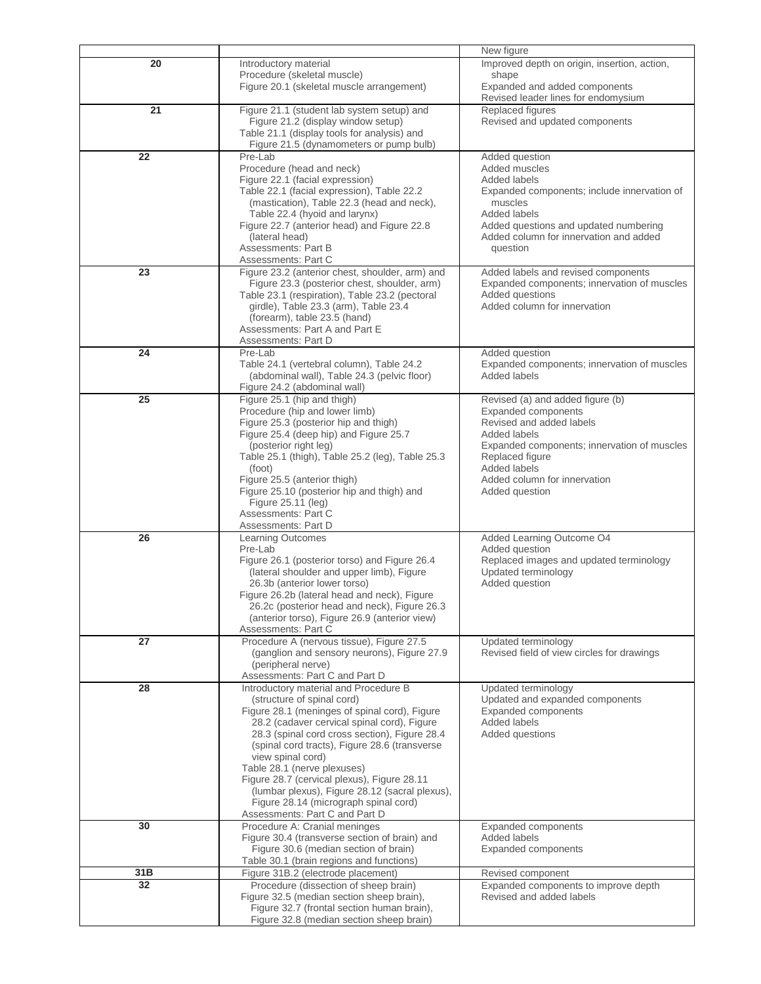|     |                                                                                                 | New figure                                                                         |
|-----|-------------------------------------------------------------------------------------------------|------------------------------------------------------------------------------------|
| 20  | Introductory material                                                                           | Improved depth on origin, insertion, action,                                       |
|     | Procedure (skeletal muscle)                                                                     | shape                                                                              |
|     | Figure 20.1 (skeletal muscle arrangement)                                                       | Expanded and added components<br>Revised leader lines for endomysium               |
| 21  | Figure 21.1 (student lab system setup) and                                                      | Replaced figures                                                                   |
|     | Figure 21.2 (display window setup)                                                              | Revised and updated components                                                     |
|     | Table 21.1 (display tools for analysis) and                                                     |                                                                                    |
|     | Figure 21.5 (dynamometers or pump bulb)                                                         |                                                                                    |
| 22  | Pre-Lab                                                                                         | Added question                                                                     |
|     | Procedure (head and neck)                                                                       | Added muscles                                                                      |
|     | Figure 22.1 (facial expression)<br>Table 22.1 (facial expression), Table 22.2                   | Added labels                                                                       |
|     | (mastication), Table 22.3 (head and neck),                                                      | Expanded components; include innervation of<br>muscles                             |
|     | Table 22.4 (hyoid and larynx)                                                                   | Added labels                                                                       |
|     | Figure 22.7 (anterior head) and Figure 22.8                                                     | Added questions and updated numbering                                              |
|     | (lateral head)                                                                                  | Added column for innervation and added                                             |
|     | Assessments: Part B                                                                             | question                                                                           |
|     | Assessments: Part C                                                                             |                                                                                    |
| 23  | Figure 23.2 (anterior chest, shoulder, arm) and<br>Figure 23.3 (posterior chest, shoulder, arm) | Added labels and revised components<br>Expanded components; innervation of muscles |
|     | Table 23.1 (respiration), Table 23.2 (pectoral                                                  | Added questions                                                                    |
|     | girdle), Table 23.3 (arm), Table 23.4                                                           | Added column for innervation                                                       |
|     | (forearm), table 23.5 (hand)                                                                    |                                                                                    |
|     | Assessments: Part A and Part E                                                                  |                                                                                    |
|     | Assessments: Part D                                                                             |                                                                                    |
| 24  | Pre-Lab<br>Table 24.1 (vertebral column), Table 24.2                                            | Added question<br>Expanded components; innervation of muscles                      |
|     | (abdominal wall), Table 24.3 (pelvic floor)                                                     | <b>Added labels</b>                                                                |
|     | Figure 24.2 (abdominal wall)                                                                    |                                                                                    |
| 25  | Figure 25.1 (hip and thigh)                                                                     | Revised (a) and added figure (b)                                                   |
|     | Procedure (hip and lower limb)                                                                  | Expanded components                                                                |
|     | Figure 25.3 (posterior hip and thigh)                                                           | Revised and added labels                                                           |
|     | Figure 25.4 (deep hip) and Figure 25.7<br>(posterior right leg)                                 | Added labels                                                                       |
|     | Table 25.1 (thigh), Table 25.2 (leg), Table 25.3                                                | Expanded components; innervation of muscles<br>Replaced figure                     |
|     | (foot)                                                                                          | <b>Added labels</b>                                                                |
|     | Figure 25.5 (anterior thigh)                                                                    | Added column for innervation                                                       |
|     | Figure 25.10 (posterior hip and thigh) and                                                      | Added question                                                                     |
|     | Figure 25.11 (leg)                                                                              |                                                                                    |
|     | Assessments: Part C<br>Assessments: Part D                                                      |                                                                                    |
| 26  | <b>Learning Outcomes</b>                                                                        | Added Learning Outcome O4                                                          |
|     | Pre-Lab                                                                                         | Added question                                                                     |
|     | Figure 26.1 (posterior torso) and Figure 26.4                                                   | Replaced images and updated terminology                                            |
|     | (lateral shoulder and upper limb), Figure                                                       | Updated terminology                                                                |
|     | 26.3b (anterior lower torso)                                                                    | Added question                                                                     |
|     | Figure 26.2b (lateral head and neck), Figure<br>26.2c (posterior head and neck), Figure 26.3    |                                                                                    |
|     | (anterior torso), Figure 26.9 (anterior view)                                                   |                                                                                    |
|     | Assessments: Part C                                                                             |                                                                                    |
| 27  | Procedure A (nervous tissue), Figure 27.5                                                       | Updated terminology                                                                |
|     | (ganglion and sensory neurons), Figure 27.9                                                     | Revised field of view circles for drawings                                         |
|     | (peripheral nerve)<br>Assessments: Part C and Part D                                            |                                                                                    |
| 28  | Introductory material and Procedure B                                                           | Updated terminology                                                                |
|     | (structure of spinal cord)                                                                      | Updated and expanded components                                                    |
|     | Figure 28.1 (meninges of spinal cord), Figure                                                   | <b>Expanded components</b>                                                         |
|     | 28.2 (cadaver cervical spinal cord), Figure                                                     | <b>Added labels</b>                                                                |
|     | 28.3 (spinal cord cross section), Figure 28.4                                                   | Added questions                                                                    |
|     | (spinal cord tracts), Figure 28.6 (transverse<br>view spinal cord)                              |                                                                                    |
|     | Table 28.1 (nerve plexuses)                                                                     |                                                                                    |
|     | Figure 28.7 (cervical plexus), Figure 28.11                                                     |                                                                                    |
|     | (lumbar plexus), Figure 28.12 (sacral plexus),                                                  |                                                                                    |
|     | Figure 28.14 (micrograph spinal cord)                                                           |                                                                                    |
|     | Assessments: Part C and Part D                                                                  |                                                                                    |
| 30  | Procedure A: Cranial meninges<br>Figure 30.4 (transverse section of brain) and                  | Expanded components<br><b>Added labels</b>                                         |
|     | Figure 30.6 (median section of brain)                                                           | Expanded components                                                                |
|     | Table 30.1 (brain regions and functions)                                                        |                                                                                    |
| 31B | Figure 31B.2 (electrode placement)                                                              | Revised component                                                                  |
| 32  | Procedure (dissection of sheep brain)                                                           | Expanded components to improve depth                                               |
|     | Figure 32.5 (median section sheep brain),                                                       | Revised and added labels                                                           |
|     | Figure 32.7 (frontal section human brain),                                                      |                                                                                    |
|     | Figure 32.8 (median section sheep brain)                                                        |                                                                                    |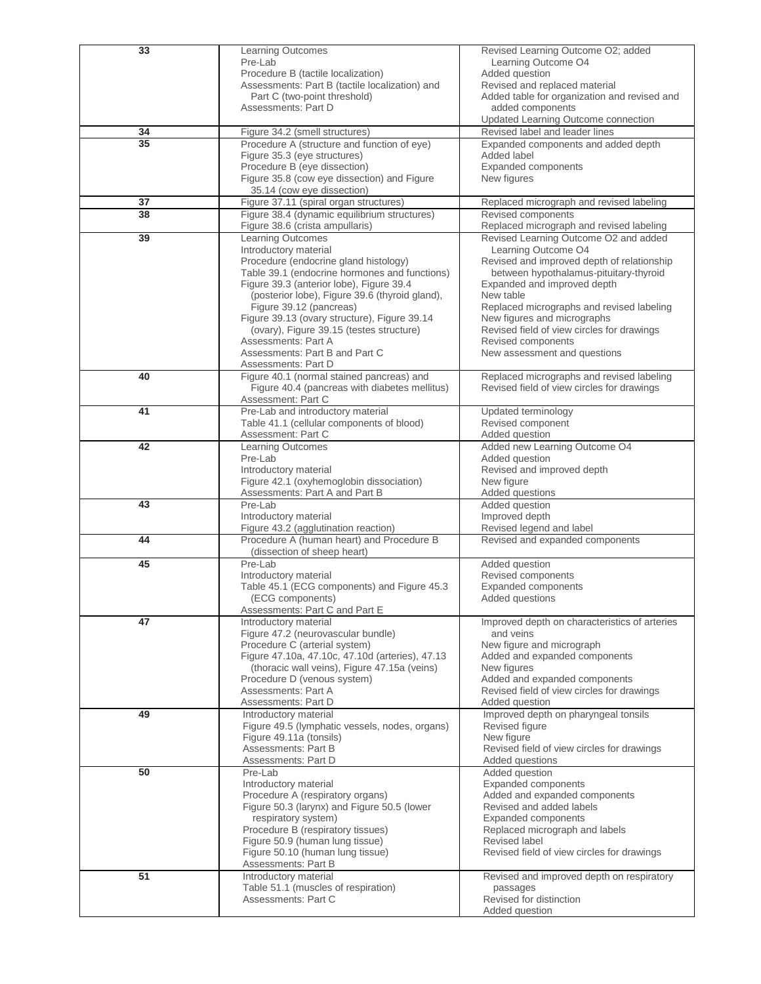| 33 | <b>Learning Outcomes</b>                                                                  | Revised Learning Outcome O2; added                                            |
|----|-------------------------------------------------------------------------------------------|-------------------------------------------------------------------------------|
|    | Pre-Lab                                                                                   | Learning Outcome O4                                                           |
|    | Procedure B (tactile localization)                                                        | Added question                                                                |
|    | Assessments: Part B (tactile localization) and<br>Part C (two-point threshold)            | Revised and replaced material<br>Added table for organization and revised and |
|    | Assessments: Part D                                                                       | added components                                                              |
|    |                                                                                           | Updated Learning Outcome connection                                           |
| 34 | Figure 34.2 (smell structures)                                                            | Revised label and leader lines                                                |
| 35 | Procedure A (structure and function of eye)                                               | Expanded components and added depth                                           |
|    | Figure 35.3 (eye structures)                                                              | Added label                                                                   |
|    | Procedure B (eye dissection)                                                              | Expanded components                                                           |
|    | Figure 35.8 (cow eye dissection) and Figure<br>35.14 (cow eye dissection)                 | New figures                                                                   |
| 37 | Figure 37.11 (spiral organ structures)                                                    | Replaced micrograph and revised labeling                                      |
| 38 | Figure 38.4 (dynamic equilibrium structures)                                              | Revised components                                                            |
|    | Figure 38.6 (crista ampullaris)                                                           | Replaced micrograph and revised labeling                                      |
| 39 | Learning Outcomes                                                                         | Revised Learning Outcome O2 and added                                         |
|    | Introductory material                                                                     | Learning Outcome O4                                                           |
|    | Procedure (endocrine gland histology)                                                     | Revised and improved depth of relationship                                    |
|    | Table 39.1 (endocrine hormones and functions)<br>Figure 39.3 (anterior lobe), Figure 39.4 | between hypothalamus-pituitary-thyroid<br>Expanded and improved depth         |
|    | (posterior lobe), Figure 39.6 (thyroid gland),                                            | New table                                                                     |
|    | Figure 39.12 (pancreas)                                                                   | Replaced micrographs and revised labeling                                     |
|    | Figure 39.13 (ovary structure), Figure 39.14                                              | New figures and micrographs                                                   |
|    | (ovary), Figure 39.15 (testes structure)                                                  | Revised field of view circles for drawings                                    |
|    | Assessments: Part A<br>Assessments: Part B and Part C                                     | Revised components<br>New assessment and questions                            |
|    | Assessments: Part D                                                                       |                                                                               |
| 40 | Figure 40.1 (normal stained pancreas) and                                                 | Replaced micrographs and revised labeling                                     |
|    | Figure 40.4 (pancreas with diabetes mellitus)                                             | Revised field of view circles for drawings                                    |
|    | Assessment: Part C                                                                        |                                                                               |
| 41 | Pre-Lab and introductory material                                                         | Updated terminology<br>Revised component                                      |
|    | Table 41.1 (cellular components of blood)<br>Assessment: Part C                           | Added question                                                                |
| 42 | Learning Outcomes                                                                         | Added new Learning Outcome O4                                                 |
|    | Pre-Lab                                                                                   | Added question                                                                |
|    | Introductory material                                                                     | Revised and improved depth                                                    |
|    | Figure 42.1 (oxyhemoglobin dissociation)                                                  | New figure                                                                    |
| 43 | Assessments: Part A and Part B                                                            | Added questions                                                               |
|    | Pre-Lab<br>Introductory material                                                          | Added question<br>Improved depth                                              |
|    | Figure 43.2 (agglutination reaction)                                                      | Revised legend and label                                                      |
| 44 | Procedure A (human heart) and Procedure B                                                 | Revised and expanded components                                               |
|    | (dissection of sheep heart)                                                               |                                                                               |
| 45 | Pre-Lab                                                                                   | Added question                                                                |
|    | Introductory material<br>Table 45.1 (ECG components) and Figure 45.3                      | Revised components<br>Expanded components                                     |
|    | (ECG components)                                                                          | Added questions                                                               |
|    | Assessments: Part C and Part E                                                            |                                                                               |
| 47 | Introductory material                                                                     | Improved depth on characteristics of arteries                                 |
|    | Figure 47.2 (neurovascular bundle)                                                        | and veins                                                                     |
|    | Procedure C (arterial system)<br>Figure 47.10a, 47.10c, 47.10d (arteries), 47.13          | New figure and micrograph<br>Added and expanded components                    |
|    | (thoracic wall veins), Figure 47.15a (veins)                                              | New figures                                                                   |
|    | Procedure D (venous system)                                                               | Added and expanded components                                                 |
|    | Assessments: Part A                                                                       | Revised field of view circles for drawings                                    |
|    | Assessments: Part D                                                                       | Added question                                                                |
| 49 | Introductory material                                                                     | Improved depth on pharyngeal tonsils                                          |
|    | Figure 49.5 (lymphatic vessels, nodes, organs)<br>Figure 49.11a (tonsils)                 | Revised figure<br>New figure                                                  |
|    | Assessments: Part B                                                                       | Revised field of view circles for drawings                                    |
|    | Assessments: Part D                                                                       | Added questions                                                               |
| 50 | Pre-Lab                                                                                   | Added question                                                                |
|    | Introductory material                                                                     | Expanded components                                                           |
|    | Procedure A (respiratory organs)                                                          | Added and expanded components                                                 |
|    | Figure 50.3 (larynx) and Figure 50.5 (lower<br>respiratory system)                        | Revised and added labels<br><b>Expanded components</b>                        |
|    | Procedure B (respiratory tissues)                                                         | Replaced micrograph and labels                                                |
|    | Figure 50.9 (human lung tissue)                                                           | Revised label                                                                 |
|    | Figure 50.10 (human lung tissue)                                                          | Revised field of view circles for drawings                                    |
| 51 | Assessments: Part B                                                                       |                                                                               |
|    | Introductory material<br>Table 51.1 (muscles of respiration)                              | Revised and improved depth on respiratory<br>passages                         |
|    | Assessments: Part C                                                                       | Revised for distinction                                                       |
|    |                                                                                           | Added question                                                                |